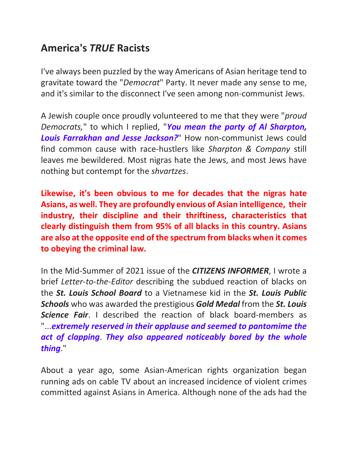## **America's** *TRUE* **Racists**

I've always been puzzled by the way Americans of Asian heritage tend to gravitate toward the "*Democrat*" Party. It never made any sense to me, and it's similar to the disconnect I've seen among non-communist Jews.

A Jewish couple once proudly volunteered to me that they were "*proud Democrats,*" to which I replied, "*You mean the party of Al Sharpton, Louis Farrakhan and Jesse Jackson?*" How non-communist Jews could find common cause with race-hustlers like *Sharpton & Company* still leaves me bewildered. Most nigras hate the Jews, and most Jews have nothing but contempt for the *shvartzes*.

**Likewise, it's been obvious to me for decades that the nigras hate Asians, as well. They are profoundly envious of Asian intelligence, their industry, their discipline and their thriftiness, characteristics that clearly distinguish them from 95% of all blacks in this country. Asians are also at the opposite end of the spectrum from blacks when it comes to obeying the criminal law.**

In the Mid-Summer of 2021 issue of the *CITIZENS INFORMER*, I wrote a brief *Letter-to-the-Editor* describing the subdued reaction of blacks on the *St. Louis School Board* to a Vietnamese kid in the *St. Louis Public Schools* who was awarded the prestigious *Gold Medal* from the *St. Louis*  **Science Fair.** I described the reaction of black board-members as "...*extremely reserved in their applause and seemed to pantomime the act of clapping*. *They also appeared noticeably bored by the whole thing*."

About a year ago, some Asian-American rights organization began running ads on cable TV about an increased incidence of violent crimes committed against Asians in America. Although none of the ads had the